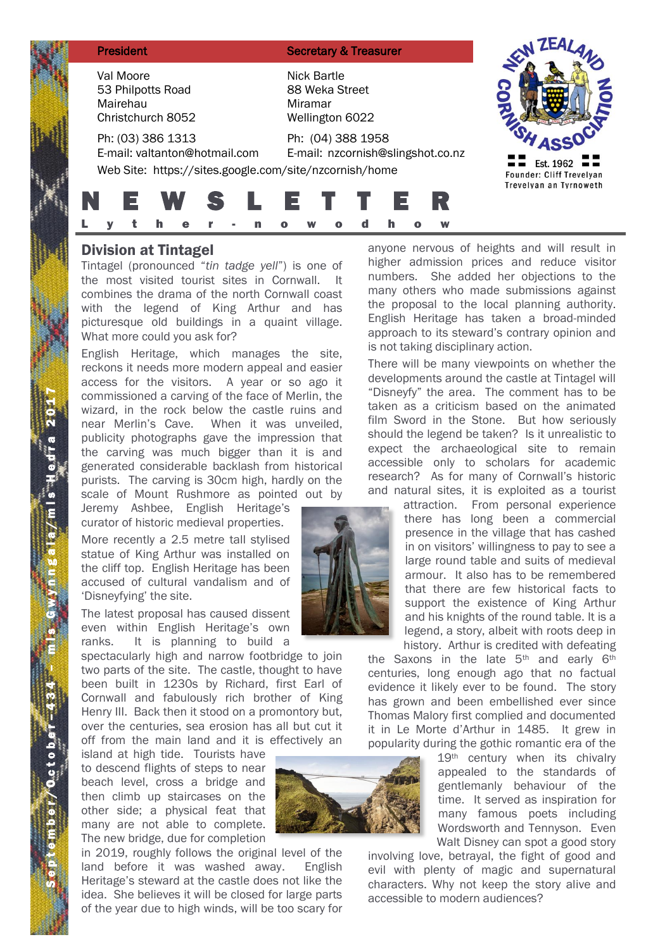| <b>President</b>                                                                                             | <b>Secretary &amp; Treasurer</b>                            |                                       |
|--------------------------------------------------------------------------------------------------------------|-------------------------------------------------------------|---------------------------------------|
| Val Moore<br>53 Philpotts Road<br>Mairehau<br>Christchurch 8052                                              | Nick Bartle<br>88 Weka Street<br>Miramar<br>Wellington 6022 |                                       |
| Ph: (03) 386 1313<br>E-mail: valtanton@hotmail.com<br>Web Site: https://sites.google.com/site/nzcornish/home | Ph: (04) 388 1958<br>E-mail: nzcornish@slingshot.co.nz      | Est. 1962<br>Founder: Cliff Trevelyan |
| h                                                                                                            | <b>EWSLETTE</b><br>h<br>W                                   | Trevelyan an Tyrnoweth                |

# Division at Tintagel

Tintagel (pronounced "*tin tadge yell*") is one of the most visited tourist sites in Cornwall. It combines the drama of the north Cornwall coast with the legend of King Arthur and has picturesque old buildings in a quaint village. What more could you ask for?

English Heritage, which manages the site, reckons it needs more modern appeal and easier access for the visitors. A year or so ago it commissioned a carving of the face of Merlin, the wizard, in the rock below the castle ruins and near Merlin's Cave. When it was unveiled, publicity photographs gave the impression that the carving was much bigger than it is and generated considerable backlash from historical purists. The carving is 30cm high, hardly on the scale of Mount Rushmore as pointed out by

Jeremy Ashbee, English Heritage's curator of historic medieval properties.

More recently a 2.5 metre tall stylised statue of King Arthur was installed on the cliff top. English Heritage has been accused of cultural vandalism and of 'Disneyfying' the site.

The latest proposal has caused dissent even within English Heritage's own ranks. It is planning to build a

spectacularly high and narrow footbridge to join two parts of the site. The castle, thought to have been built in 1230s by Richard, first Earl of Cornwall and fabulously rich brother of King Henry III. Back then it stood on a promontory but, over the centuries, sea erosion has all but cut it off from the main land and it is effectively an

island at high tide. Tourists have to descend flights of steps to near beach level, cross a bridge and then climb up staircases on the other side; a physical feat that many are not able to complete. The new bridge, due for completion

in 2019, roughly follows the original level of the land before it was washed away. English Heritage's steward at the castle does not like the idea. She believes it will be closed for large parts of the year due to high winds, will be too scary for

anyone nervous of heights and will result in higher admission prices and reduce visitor numbers. She added her objections to the many others who made submissions against the proposal to the local planning authority. English Heritage has taken a broad-minded approach to its steward's contrary opinion and is not taking disciplinary action.

There will be many viewpoints on whether the developments around the castle at Tintagel will "Disneyfy" the area. The comment has to be taken as a criticism based on the animated film Sword in the Stone. But how seriously should the legend be taken? Is it unrealistic to expect the archaeological site to remain accessible only to scholars for academic research? As for many of Cornwall's historic and natural sites, it is exploited as a tourist

> attraction. From personal experience there has long been a commercial presence in the village that has cashed in on visitors' willingness to pay to see a large round table and suits of medieval armour. It also has to be remembered that there are few historical facts to support the existence of King Arthur and his knights of the round table. It is a legend, a story, albeit with roots deep in history. Arthur is credited with defeating

the Saxons in the late 5<sup>th</sup> and early 6<sup>th</sup> centuries, long enough ago that no factual evidence it likely ever to be found. The story has grown and been embellished ever since Thomas Malory first complied and documented it in Le Morte d'Arthur in 1485. It grew in popularity during the gothic romantic era of the

19<sup>th</sup> century when its chivalry appealed to the standards of gentlemanly behaviour of the time. It served as inspiration for many famous poets including Wordsworth and Tennyson. Even Walt Disney can spot a good story

involving love, betrayal, the fight of good and evil with plenty of magic and supernatural characters. Why not keep the story alive and accessible to modern audiences?

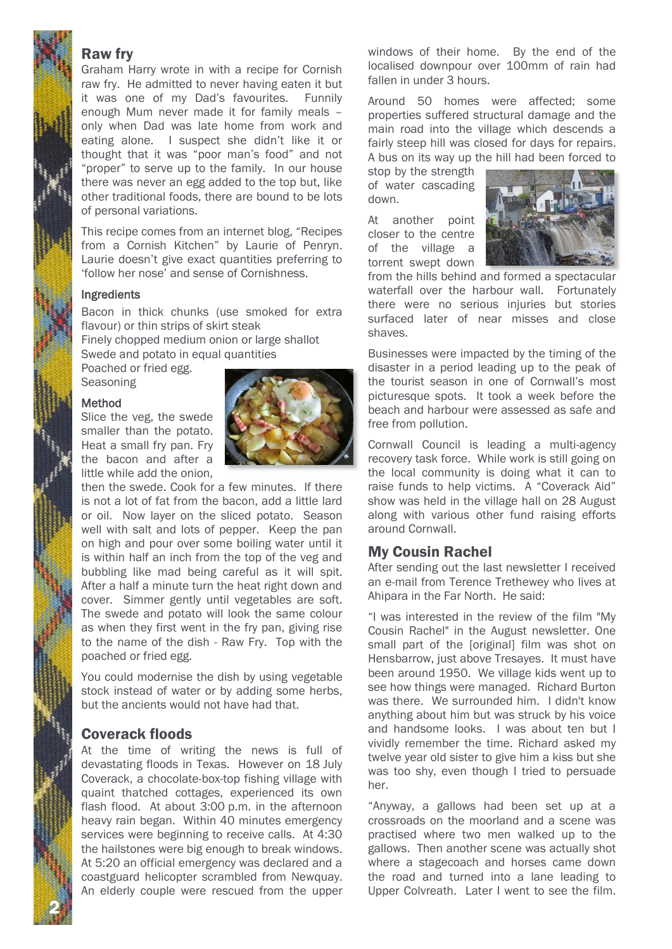# Raw fry

Graham Harry wrote in with a recipe for Cornish raw fry. He admitted to never having eaten it but it was one of my Dad's favourites. Funnily enough Mum never made it for family meals – only when Dad was late home from work and eating alone. I suspect she didn't like it or thought that it was "poor man's food" and not "proper" to serve up to the family. In our house there was never an egg added to the top but, like other traditional foods, there are bound to be lots of personal variations.

This recipe comes from an internet blog, "Recipes from a Cornish Kitchen" by Laurie of Penryn. Laurie doesn't give exact quantities preferring to 'follow her nose' and sense of Cornishness.

#### Ingredients

Bacon in thick chunks (use smoked for extra flavour) or thin strips of skirt steak

Finely chopped medium onion or large shallot Swede and potato in equal quantities

Poached or fried egg. **Seasoning** 

#### Method

Slice the veg, the swede smaller than the potato. Heat a small fry pan. Fry the bacon and after a little while add the onion,



then the swede. Cook for a few minutes. If there is not a lot of fat from the bacon, add a little lard or oil. Now layer on the sliced potato. Season well with salt and lots of pepper. Keep the pan on high and pour over some boiling water until it is within half an inch from the top of the veg and bubbling like mad being careful as it will spit. After a half a minute turn the heat right down and cover. Simmer gently until vegetables are soft. The swede and potato will look the same colour as when they first went in the fry pan, giving rise to the name of the dish - Raw Fry. Top with the poached or fried egg.

You could modernise the dish by using vegetable stock instead of water or by adding some herbs, but the ancients would not have had that.

### Coverack floods

2 N

At the time of writing the news is full of devastating floods in Texas. However on 18 July Coverack, a chocolate-box-top fishing village with quaint thatched cottages, experienced its own flash flood. At about 3:00 p.m. in the afternoon heavy rain began. Within 40 minutes emergency services were beginning to receive calls. At 4:30 the hailstones were big enough to break windows. At 5:20 an official emergency was declared and a coastguard helicopter scrambled from Newquay. An elderly couple were rescued from the upper windows of their home. By the end of the localised downpour over 100mm of rain had fallen in under 3 hours.

Around 50 homes were affected; some properties suffered structural damage and the main road into the village which descends a fairly steep hill was closed for days for repairs. A bus on its way up the hill had been forced to

stop by the strength of water cascading down.

At another point closer to the centre of the village a torrent swept down



from the hills behind and formed a spectacular waterfall over the harbour wall. Fortunately there were no serious injuries but stories surfaced later of near misses and close shaves.

Businesses were impacted by the timing of the disaster in a period leading up to the peak of the tourist season in one of Cornwall's most picturesque spots. It took a week before the beach and harbour were assessed as safe and free from pollution.

Cornwall Council is leading a multi-agency recovery task force. While work is still going on the local community is doing what it can to raise funds to help victims. A "Coverack Aid" show was held in the village hall on 28 August along with various other fund raising efforts around Cornwall.

### My Cousin Rachel

After sending out the last newsletter I received an e-mail from Terence Trethewey who lives at Ahipara in the Far North. He said:

"I was interested in the review of the film "My Cousin Rachel" in the August newsletter. One small part of the [original] film was shot on Hensbarrow, just above Tresayes. It must have been around 1950. We village kids went up to see how things were managed. Richard Burton was there. We surrounded him. I didn't know anything about him but was struck by his voice and handsome looks. I was about ten but I vividly remember the time. Richard asked my twelve year old sister to give him a kiss but she was too shy, even though I tried to persuade her.

"Anyway, a gallows had been set up at a crossroads on the moorland and a scene was practised where two men walked up to the gallows. Then another scene was actually shot where a stagecoach and horses came down the road and turned into a lane leading to Upper Colvreath. Later I went to see the film.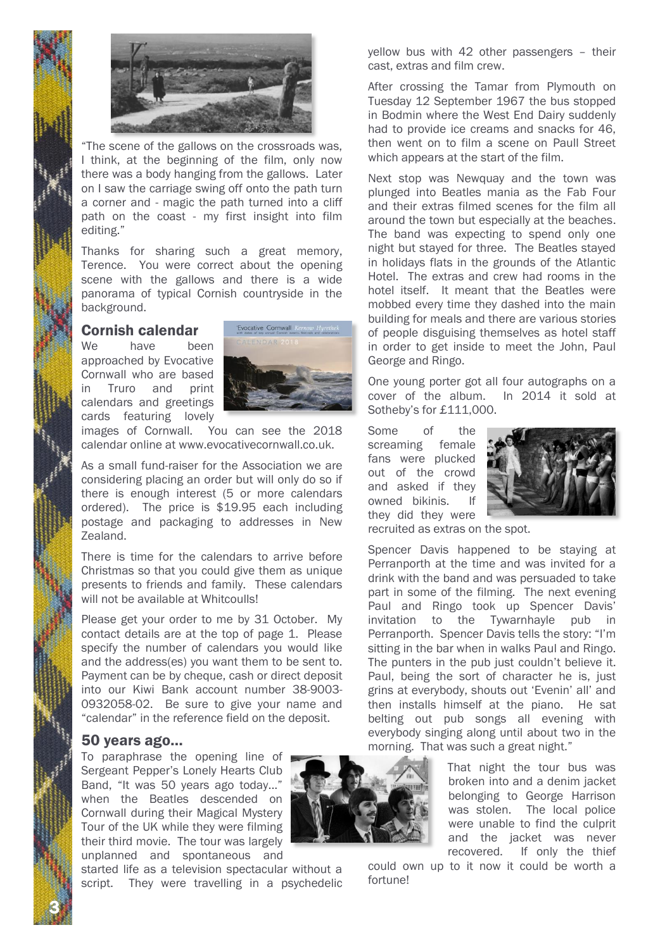



"The scene of the gallows on the crossroads was, I think, at the beginning of the film, only now there was a body hanging from the gallows. Later on I saw the carriage swing off onto the path turn a corner and - magic the path turned into a cliff path on the coast - my first insight into film editing."

Thanks for sharing such a great memory, Terence. You were correct about the opening scene with the gallows and there is a wide panorama of typical Cornish countryside in the background.

### Cornish calendar

We have been approached by Evocative Cornwall who are based in Truro and print calendars and greetings cards featuring lovely



images of Cornwall. You can see the 2018 calendar online at www.evocativecornwall.co.uk.

As a small fund-raiser for the Association we are considering placing an order but will only do so if there is enough interest (5 or more calendars ordered). The price is \$19.95 each including postage and packaging to addresses in New Zealand.

There is time for the calendars to arrive before Christmas so that you could give them as unique presents to friends and family. These calendars will not be available at Whitcoulls!

Please get your order to me by 31 October. My contact details are at the top of page 1. Please specify the number of calendars you would like and the address(es) you want them to be sent to. Payment can be by cheque, cash or direct deposit into our Kiwi Bank account number 38-9003- 0932058-02. Be sure to give your name and "calendar" in the reference field on the deposit.

#### 50 years ago…

To paraphrase the opening line of Sergeant Pepper's Lonely Hearts Club Band, "It was 50 years ago today..." when the Beatles descended on Cornwall during their Magical Mystery Tour of the UK while they were filming their third movie. The tour was largely unplanned and spontaneous and



yellow bus with 42 other passengers – their cast, extras and film crew.

After crossing the Tamar from Plymouth on Tuesday 12 September 1967 the bus stopped in Bodmin where the West End Dairy suddenly had to provide ice creams and snacks for 46, then went on to film a scene on Paull Street which appears at the start of the film.

Next stop was Newquay and the town was plunged into Beatles mania as the Fab Four and their extras filmed scenes for the film all around the town but especially at the beaches. The band was expecting to spend only one night but stayed for three. The Beatles stayed in holidays flats in the grounds of the Atlantic Hotel. The extras and crew had rooms in the hotel itself. It meant that the Beatles were mobbed every time they dashed into the main building for meals and there are various stories of people disguising themselves as hotel staff in order to get inside to meet the John, Paul George and Ringo.

One young porter got all four autographs on a cover of the album. In 2014 it sold at Sotheby's for £111,000.

Some of the screaming female fans were plucked out of the crowd and asked if they owned bikinis. If they did they were



recruited as extras on the spot.

Spencer Davis happened to be staying at Perranporth at the time and was invited for a drink with the band and was persuaded to take part in some of the filming. The next evening Paul and Ringo took up Spencer Davis' invitation to the Tywarnhayle pub in Perranporth. Spencer Davis tells the story: "I'm sitting in the bar when in walks Paul and Ringo. The punters in the pub just couldn't believe it. Paul, being the sort of character he is, just grins at everybody, shouts out 'Evenin' all' and then installs himself at the piano. He sat belting out pub songs all evening with everybody singing along until about two in the morning. That was such a great night."

> That night the tour bus was broken into and a denim jacket belonging to George Harrison was stolen. The local police were unable to find the culprit and the jacket was never recovered. If only the thief

could own up to it now it could be worth a fortune!